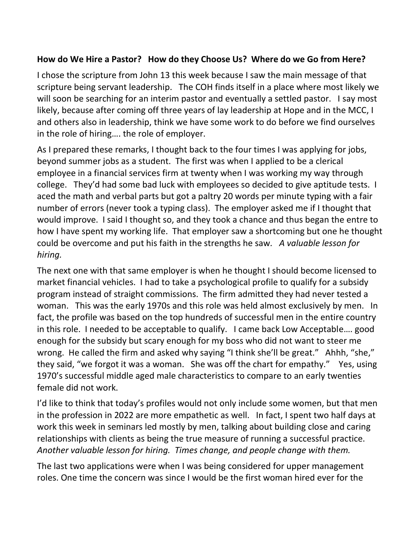## **How do We Hire a Pastor? How do they Choose Us? Where do we Go from Here?**

I chose the scripture from John 13 this week because I saw the main message of that scripture being servant leadership. The COH finds itself in a place where most likely we will soon be searching for an interim pastor and eventually a settled pastor. I say most likely, because after coming off three years of lay leadership at Hope and in the MCC, I and others also in leadership, think we have some work to do before we find ourselves in the role of hiring…. the role of employer.

As I prepared these remarks, I thought back to the four times I was applying for jobs, beyond summer jobs as a student. The first was when I applied to be a clerical employee in a financial services firm at twenty when I was working my way through college. They'd had some bad luck with employees so decided to give aptitude tests. I aced the math and verbal parts but got a paltry 20 words per minute typing with a fair number of errors (never took a typing class). The employer asked me if I thought that would improve. I said I thought so, and they took a chance and thus began the entre to how I have spent my working life. That employer saw a shortcoming but one he thought could be overcome and put his faith in the strengths he saw*. A valuable lesson for hiring.*

The next one with that same employer is when he thought I should become licensed to market financial vehicles. I had to take a psychological profile to qualify for a subsidy program instead of straight commissions. The firm admitted they had never tested a woman. This was the early 1970s and this role was held almost exclusively by men. In fact, the profile was based on the top hundreds of successful men in the entire country in this role. I needed to be acceptable to qualify. I came back Low Acceptable…. good enough for the subsidy but scary enough for my boss who did not want to steer me wrong. He called the firm and asked why saying "I think she'll be great." Ahhh, "she," they said, "we forgot it was a woman. She was off the chart for empathy." Yes, using 1970's successful middle aged male characteristics to compare to an early twenties female did not work.

I'd like to think that today's profiles would not only include some women, but that men in the profession in 2022 are more empathetic as well. In fact, I spent two half days at work this week in seminars led mostly by men, talking about building close and caring relationships with clients as being the true measure of running a successful practice. *Another valuable lesson for hiring. Times change, and people change with them.*

The last two applications were when I was being considered for upper management roles. One time the concern was since I would be the first woman hired ever for the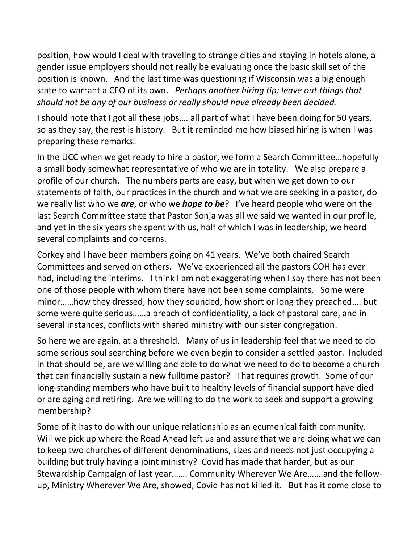position, how would I deal with traveling to strange cities and staying in hotels alone, a gender issue employers should not really be evaluating once the basic skill set of the position is known. And the last time was questioning if Wisconsin was a big enough state to warrant a CEO of its own. *Perhaps another hiring tip: leave out things that should not be any of our business or really should have already been decided.*

I should note that I got all these jobs…. all part of what I have been doing for 50 years, so as they say, the rest is history. But it reminded me how biased hiring is when I was preparing these remarks.

In the UCC when we get ready to hire a pastor, we form a Search Committee…hopefully a small body somewhat representative of who we are in totality. We also prepare a profile of our church. The numbers parts are easy, but when we get down to our statements of faith, our practices in the church and what we are seeking in a pastor, do we really list who we *are*, or who we *hope to be*? I've heard people who were on the last Search Committee state that Pastor Sonja was all we said we wanted in our profile, and yet in the six years she spent with us, half of which I was in leadership, we heard several complaints and concerns.

Corkey and I have been members going on 41 years. We've both chaired Search Committees and served on others. We've experienced all the pastors COH has ever had, including the interims. I think I am not exaggerating when I say there has not been one of those people with whom there have not been some complaints. Some were minor……how they dressed, how they sounded, how short or long they preached…. but some were quite serious……a breach of confidentiality, a lack of pastoral care, and in several instances, conflicts with shared ministry with our sister congregation.

So here we are again, at a threshold. Many of us in leadership feel that we need to do some serious soul searching before we even begin to consider a settled pastor. Included in that should be, are we willing and able to do what we need to do to become a church that can financially sustain a new fulltime pastor? That requires growth. Some of our long-standing members who have built to healthy levels of financial support have died or are aging and retiring. Are we willing to do the work to seek and support a growing membership?

Some of it has to do with our unique relationship as an ecumenical faith community. Will we pick up where the Road Ahead left us and assure that we are doing what we can to keep two churches of different denominations, sizes and needs not just occupying a building but truly having a joint ministry? Covid has made that harder, but as our Stewardship Campaign of last year……. Community Wherever We Are…….and the followup, Ministry Wherever We Are, showed, Covid has not killed it. But has it come close to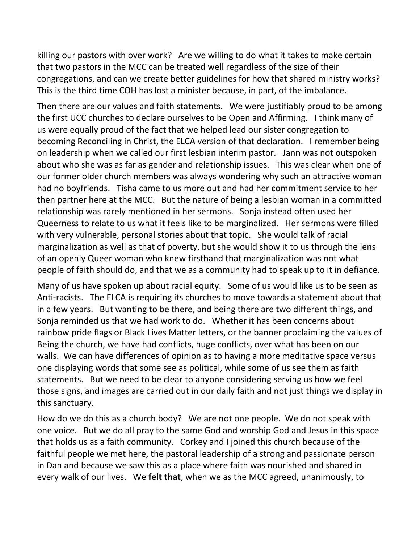killing our pastors with over work? Are we willing to do what it takes to make certain that two pastors in the MCC can be treated well regardless of the size of their congregations, and can we create better guidelines for how that shared ministry works? This is the third time COH has lost a minister because, in part, of the imbalance.

Then there are our values and faith statements. We were justifiably proud to be among the first UCC churches to declare ourselves to be Open and Affirming. I think many of us were equally proud of the fact that we helped lead our sister congregation to becoming Reconciling in Christ, the ELCA version of that declaration. I remember being on leadership when we called our first lesbian interim pastor. Jann was not outspoken about who she was as far as gender and relationship issues. This was clear when one of our former older church members was always wondering why such an attractive woman had no boyfriends. Tisha came to us more out and had her commitment service to her then partner here at the MCC. But the nature of being a lesbian woman in a committed relationship was rarely mentioned in her sermons. Sonja instead often used her Queerness to relate to us what it feels like to be marginalized. Her sermons were filled with very vulnerable, personal stories about that topic. She would talk of racial marginalization as well as that of poverty, but she would show it to us through the lens of an openly Queer woman who knew firsthand that marginalization was not what people of faith should do, and that we as a community had to speak up to it in defiance.

Many of us have spoken up about racial equity. Some of us would like us to be seen as Anti-racists. The ELCA is requiring its churches to move towards a statement about that in a few years. But wanting to be there, and being there are two different things, and Sonja reminded us that we had work to do. Whether it has been concerns about rainbow pride flags or Black Lives Matter letters, or the banner proclaiming the values of Being the church, we have had conflicts, huge conflicts, over what has been on our walls. We can have differences of opinion as to having a more meditative space versus one displaying words that some see as political, while some of us see them as faith statements. But we need to be clear to anyone considering serving us how we feel those signs, and images are carried out in our daily faith and not just things we display in this sanctuary.

How do we do this as a church body? We are not one people. We do not speak with one voice. But we do all pray to the same God and worship God and Jesus in this space that holds us as a faith community. Corkey and I joined this church because of the faithful people we met here, the pastoral leadership of a strong and passionate person in Dan and because we saw this as a place where faith was nourished and shared in every walk of our lives. We **felt that**, when we as the MCC agreed, unanimously, to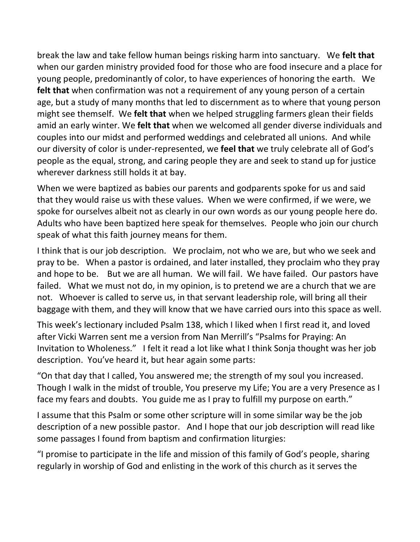break the law and take fellow human beings risking harm into sanctuary. We **felt that**  when our garden ministry provided food for those who are food insecure and a place for young people, predominantly of color, to have experiences of honoring the earth. We **felt that** when confirmation was not a requirement of any young person of a certain age, but a study of many months that led to discernment as to where that young person might see themself. We **felt that** when we helped struggling farmers glean their fields amid an early winter. We **felt that** when we welcomed all gender diverse individuals and couples into our midst and performed weddings and celebrated all unions. And while our diversity of color is under-represented, we **feel that** we truly celebrate all of God's people as the equal, strong, and caring people they are and seek to stand up for justice wherever darkness still holds it at bay.

When we were baptized as babies our parents and godparents spoke for us and said that they would raise us with these values. When we were confirmed, if we were, we spoke for ourselves albeit not as clearly in our own words as our young people here do. Adults who have been baptized here speak for themselves. People who join our church speak of what this faith journey means for them.

I think that is our job description. We proclaim, not who we are, but who we seek and pray to be. When a pastor is ordained, and later installed, they proclaim who they pray and hope to be. But we are all human. We will fail. We have failed. Our pastors have failed. What we must not do, in my opinion, is to pretend we are a church that we are not. Whoever is called to serve us, in that servant leadership role, will bring all their baggage with them, and they will know that we have carried ours into this space as well.

This week's lectionary included Psalm 138, which I liked when I first read it, and loved after Vicki Warren sent me a version from Nan Merrill's "Psalms for Praying: An Invitation to Wholeness." I felt it read a lot like what I think Sonja thought was her job description. You've heard it, but hear again some parts:

"On that day that I called, You answered me; the strength of my soul you increased. Though I walk in the midst of trouble, You preserve my Life; You are a very Presence as I face my fears and doubts. You guide me as I pray to fulfill my purpose on earth."

I assume that this Psalm or some other scripture will in some similar way be the job description of a new possible pastor. And I hope that our job description will read like some passages I found from baptism and confirmation liturgies:

"I promise to participate in the life and mission of this family of God's people, sharing regularly in worship of God and enlisting in the work of this church as it serves the